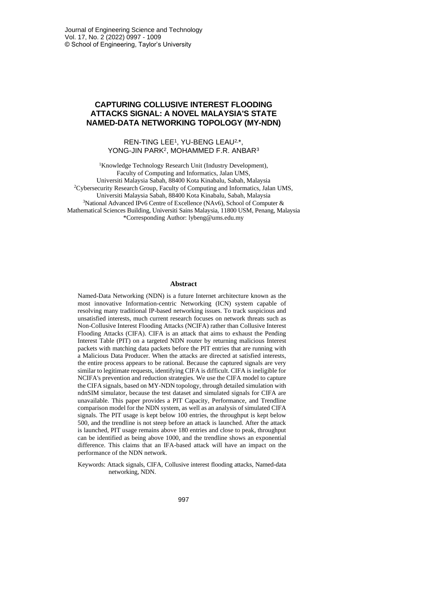## **CAPTURING COLLUSIVE INTEREST FLOODING ATTACKS SIGNAL: A NOVEL MALAYSIA'S STATE NAMED-DATA NETWORKING TOPOLOGY (MY-NDN)**

### REN-TING LEE<sup>1</sup> , YU-BENG LEAU2, \*, YONG-JIN PARK<sup>2</sup> , MOHAMMED F.R. ANBAR<sup>3</sup>

<sup>1</sup>Knowledge Technology Research Unit (Industry Development), Faculty of Computing and Informatics, Jalan UMS, Universiti Malaysia Sabah, 88400 Kota Kinabalu, Sabah, Malaysia <sup>2</sup>Cybersecurity Research Group, Faculty of Computing and Informatics, Jalan UMS, Universiti Malaysia Sabah, 88400 Kota Kinabalu, Sabah, Malaysia <sup>3</sup>National Advanced IPv6 Centre of Excellence (NAv6), School of Computer  $\&$ Mathematical Sciences Building, Universiti Sains Malaysia, 11800 USM, Penang, Malaysia \*Corresponding Author: lybeng@ums.edu.my

### **Abstract**

Named-Data Networking (NDN) is a future Internet architecture known as the most innovative Information-centric Networking (ICN) system capable of resolving many traditional IP-based networking issues. To track suspicious and unsatisfied interests, much current research focuses on network threats such as Non-Collusive Interest Flooding Attacks (NCIFA) rather than Collusive Interest Flooding Attacks (CIFA). CIFA is an attack that aims to exhaust the Pending Interest Table (PIT) on a targeted NDN router by returning malicious Interest packets with matching data packets before the PIT entries that are running with a Malicious Data Producer. When the attacks are directed at satisfied interests, the entire process appears to be rational. Because the captured signals are very similar to legitimate requests, identifying CIFA is difficult. CIFA is ineligible for NCIFA's prevention and reduction strategies. We use the CIFA model to capture the CIFA signals, based on MY-NDN topology, through detailed simulation with ndnSIM simulator, because the test dataset and simulated signals for CIFA are unavailable. This paper provides a PIT Capacity, Performance, and Trendline comparison model for the NDN system, as well as an analysis of simulated CIFA signals. The PIT usage is kept below 100 entries, the throughput is kept below 500, and the trendline is not steep before an attack is launched. After the attack is launched, PIT usage remains above 180 entries and close to peak, throughput can be identified as being above 1000, and the trendline shows an exponential difference. This claims that an IFA-based attack will have an impact on the performance of the NDN network.

Keywords: Attack signals, CIFA, Collusive interest flooding attacks, Named-data networking, NDN.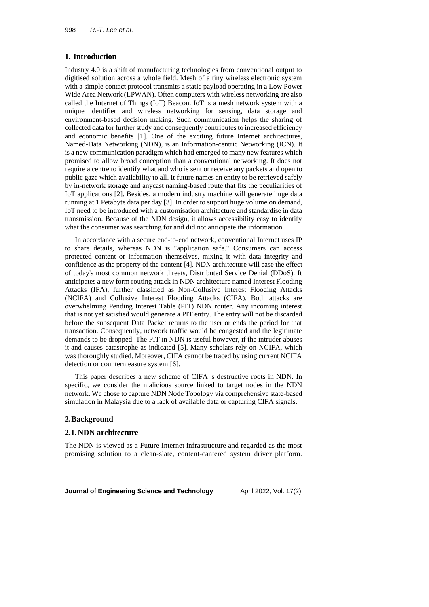### **1. Introduction**

Industry 4.0 is a shift of manufacturing technologies from conventional output to digitised solution across a whole field. Mesh of a tiny wireless electronic system with a simple contact protocol transmits a static payload operating in a Low Power Wide Area Network (LPWAN). Often computers with wireless networking are also called the Internet of Things (IoT) Beacon. IoT is a mesh network system with a unique identifier and wireless networking for sensing, data storage and environment-based decision making. Such communication helps the sharing of collected data for further study and consequently contributes to increased efficiency and economic benefits [1]. One of the exciting future Internet architectures, Named-Data Networking (NDN), is an Information-centric Networking (ICN). It is a new communication paradigm which had emerged to many new features which promised to allow broad conception than a conventional networking. It does not require a centre to identify what and who is sent or receive any packets and open to public gaze which availability to all. It future names an entity to be retrieved safely by in-network storage and anycast naming-based route that fits the peculiarities of IoT applications [2]. Besides, a modern industry machine will generate huge data running at 1 Petabyte data per day [3]. In order to support huge volume on demand, IoT need to be introduced with a customisation architecture and standardise in data transmission. Because of the NDN design, it allows accessibility easy to identify what the consumer was searching for and did not anticipate the information.

In accordance with a secure end-to-end network, conventional Internet uses IP to share details, whereas NDN is "application safe." Consumers can access protected content or information themselves, mixing it with data integrity and confidence as the property of the content [4]. NDN architecture will ease the effect of today's most common network threats, Distributed Service Denial (DDoS). It anticipates a new form routing attack in NDN architecture named Interest Flooding Attacks (IFA), further classified as Non-Collusive Interest Flooding Attacks (NCIFA) and Collusive Interest Flooding Attacks (CIFA). Both attacks are overwhelming Pending Interest Table (PIT) NDN router. Any incoming interest that is not yet satisfied would generate a PIT entry. The entry will not be discarded before the subsequent Data Packet returns to the user or ends the period for that transaction. Consequently, network traffic would be congested and the legitimate demands to be dropped. The PIT in NDN is useful however, if the intruder abuses it and causes catastrophe as indicated [5]. Many scholars rely on NCIFA, which was thoroughly studied. Moreover, CIFA cannot be traced by using current NCIFA detection or countermeasure system [6].

This paper describes a new scheme of CIFA 's destructive roots in NDN. In specific, we consider the malicious source linked to target nodes in the NDN network. We chose to capture NDN Node Topology via comprehensive state-based simulation in Malaysia due to a lack of available data or capturing CIFA signals.

### **2.Background**

### **2.1.NDN architecture**

The NDN is viewed as a Future Internet infrastructure and regarded as the most promising solution to a clean-slate, content-cantered system driver platform.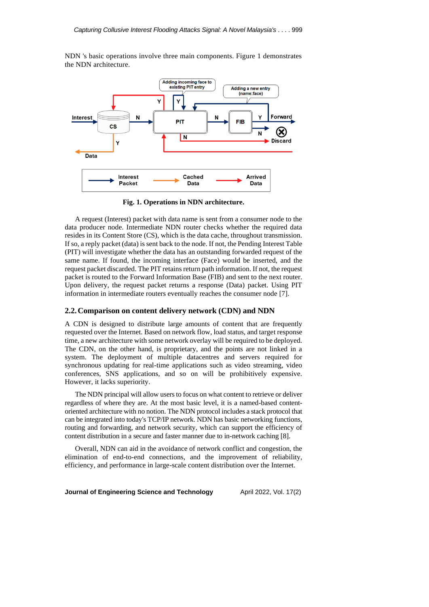NDN 's basic operations involve three main components. Figure 1 demonstrates the NDN architecture.



**Fig. 1. Operations in NDN architecture.**

A request (Interest) packet with data name is sent from a consumer node to the data producer node. Intermediate NDN router checks whether the required data resides in its Content Store (CS), which is the data cache, throughout transmission. If so, a reply packet (data) is sent back to the node. If not, the Pending Interest Table (PIT) will investigate whether the data has an outstanding forwarded request of the same name. If found, the incoming interface (Face) would be inserted, and the request packet discarded. The PIT retains return path information. If not, the request packet is routed to the Forward Information Base (FIB) and sent to the next router. Upon delivery, the request packet returns a response (Data) packet. Using PIT information in intermediate routers eventually reaches the consumer node [7].

### **2.2.Comparison on content delivery network (CDN) and NDN**

A CDN is designed to distribute large amounts of content that are frequently requested over the Internet. Based on network flow, load status, and target response time, a new architecture with some network overlay will be required to be deployed. The CDN, on the other hand, is proprietary, and the points are not linked in a system. The deployment of multiple datacentres and servers required for synchronous updating for real-time applications such as video streaming, video conferences, SNS applications, and so on will be prohibitively expensive. However, it lacks superiority.

The NDN principal will allow users to focus on what content to retrieve or deliver regardless of where they are. At the most basic level, it is a named-based contentoriented architecture with no notion. The NDN protocol includes a stack protocol that can be integrated into today's TCP/IP network. NDN has basic networking functions, routing and forwarding, and network security, which can support the efficiency of content distribution in a secure and faster manner due to in-network caching [8].

Overall, NDN can aid in the avoidance of network conflict and congestion, the elimination of end-to-end connections, and the improvement of reliability, efficiency, and performance in large-scale content distribution over the Internet.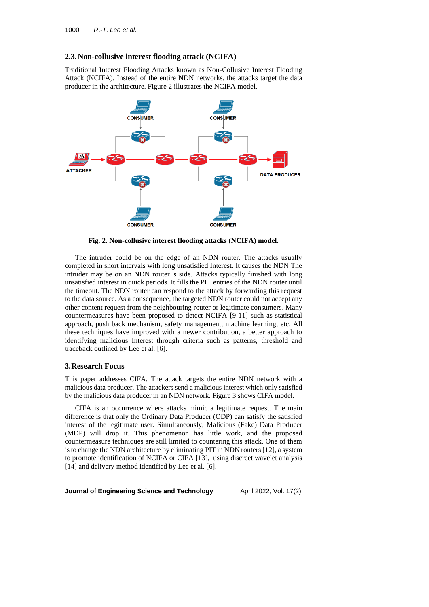## **2.3.Non-collusive interest flooding attack (NCIFA)**

Traditional Interest Flooding Attacks known as Non-Collusive Interest Flooding Attack (NCIFA). Instead of the entire NDN networks, the attacks target the data producer in the architecture. Figure 2 illustrates the NCIFA model.



**Fig. 2. Non-collusive interest flooding attacks (NCIFA) model.**

The intruder could be on the edge of an NDN router. The attacks usually completed in short intervals with long unsatisfied Interest. It causes the NDN The intruder may be on an NDN router 's side. Attacks typically finished with long unsatisfied interest in quick periods. It fills the PIT entries of the NDN router until the timeout. The NDN router can respond to the attack by forwarding this request to the data source. As a consequence, the targeted NDN router could not accept any other content request from the neighbouring router or legitimate consumers. Many countermeasures have been proposed to detect NCIFA [9-11] such as statistical approach, push back mechanism, safety management, machine learning, etc. All these techniques have improved with a newer contribution, a better approach to identifying malicious Interest through criteria such as patterns, threshold and traceback outlined by Lee et al. [6].

### **3.Research Focus**

This paper addresses CIFA. The attack targets the entire NDN network with a malicious data producer. The attackers send a malicious interest which only satisfied by the malicious data producer in an NDN network. Figure 3 shows CIFA model.

CIFA is an occurrence where attacks mimic a legitimate request. The main difference is that only the Ordinary Data Producer (ODP) can satisfy the satisfied interest of the legitimate user. Simultaneously, Malicious (Fake) Data Producer (MDP) will drop it. This phenomenon has little work, and the proposed countermeasure techniques are still limited to countering this attack. One of them is to change the NDN architecture by eliminating PIT in NDN routers [12], a system to promote identification of NCIFA or CIFA [13], using discreet wavelet analysis [14] and delivery method identified by Lee et al. [6].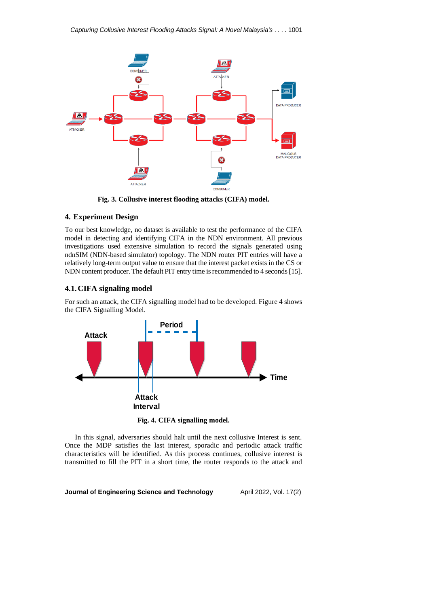

**Fig. 3. Collusive interest flooding attacks (CIFA) model.**

# **4. Experiment Design**

To our best knowledge, no dataset is available to test the performance of the CIFA model in detecting and identifying CIFA in the NDN environment. All previous investigations used extensive simulation to record the signals generated using ndnSIM (NDN-based simulator) topology. The NDN router PIT entries will have a relatively long-term output value to ensure that the interest packet exists in the CS or NDN content producer. The default PIT entry time is recommended to 4 seconds [15].

## **4.1.CIFA signaling model**

For such an attack, the CIFA signalling model had to be developed. Figure 4 shows the CIFA Signalling Model.



**Fig. 4. CIFA signalling model.**

In this signal, adversaries should halt until the next collusive Interest is sent. Once the MDP satisfies the last interest, sporadic and periodic attack traffic characteristics will be identified. As this process continues, collusive interest is transmitted to fill the PIT in a short time, the router responds to the attack and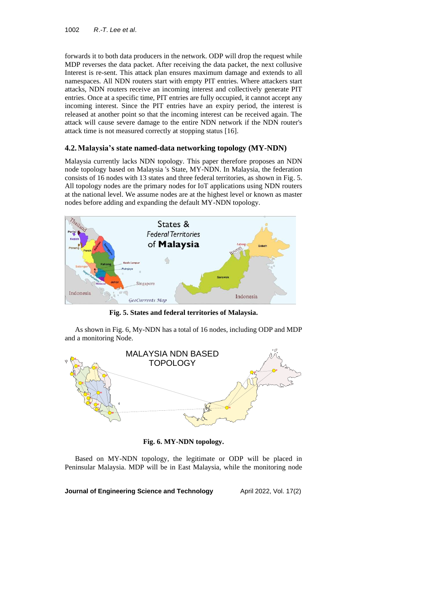forwards it to both data producers in the network. ODP will drop the request while MDP reverses the data packet. After receiving the data packet, the next collusive Interest is re-sent. This attack plan ensures maximum damage and extends to all namespaces. All NDN routers start with empty PIT entries. Where attackers start attacks, NDN routers receive an incoming interest and collectively generate PIT entries. Once at a specific time, PIT entries are fully occupied, it cannot accept any incoming interest. Since the PIT entries have an expiry period, the interest is released at another point so that the incoming interest can be received again. The attack will cause severe damage to the entire NDN network if the NDN router's attack time is not measured correctly at stopping status [16].

# **4.2.Malaysia's state named-data networking topology (MY-NDN)**

Malaysia currently lacks NDN topology. This paper therefore proposes an NDN node topology based on Malaysia 's State, MY-NDN. In Malaysia, the federation consists of 16 nodes with 13 states and three federal territories, as shown in Fig. 5. All topology nodes are the primary nodes for IoT applications using NDN routers at the national level. We assume nodes are at the highest level or known as master nodes before adding and expanding the default MY-NDN topology.



**Fig. 5. States and federal territories of Malaysia.**

As shown in Fig. 6, My-NDN has a total of 16 nodes, including ODP and MDP and a monitoring Node.



**Fig. 6. MY-NDN topology.**

Based on MY-NDN topology, the legitimate or ODP will be placed in Peninsular Malaysia. MDP will be in East Malaysia, while the monitoring node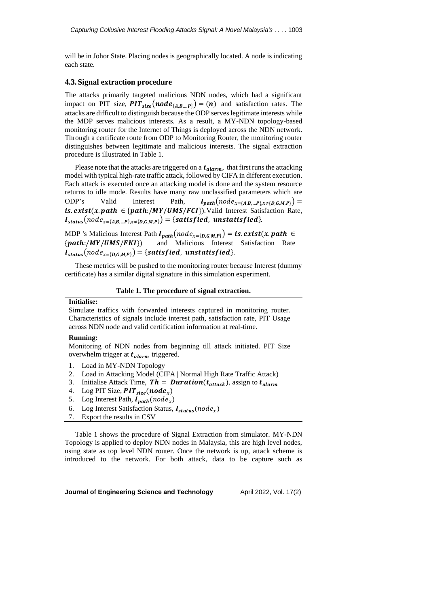will be in Johor State. Placing nodes is geographically located. A node is indicating each state.

### **4.3.Signal extraction procedure**

The attacks primarily targeted malicious NDN nodes, which had a significant impact on PIT size,  $PIT_{size}(node_{\{A,B,...P\}}) = (n)$  and satisfaction rates. The attacks are difficult to distinguish because the ODP serves legitimate interests while the MDP serves malicious interests. As a result, a MY-NDN topology-based monitoring router for the Internet of Things is deployed across the NDN network. Through a certificate route from ODP to Monitoring Router, the monitoring router distinguishes between legitimate and malicious interests. The signal extraction procedure is illustrated in Table 1.

Please note that the attacks are triggered on a  $t_{alarm}$ , that first runs the attacking model with typical high-rate traffic attack, followed by CIFA in different execution. Each attack is executed once an attacking model is done and the system resource returns to idle mode. Results have many raw unclassified parameters which are ODP's Valid Interest Path,  $I_{\text{path}}(\text{node}_{x=\{A,B,...P\},x\neq\{D,G,M,P\}})$  = is.  $exist(x.path \in \{path:/MY/UMS/FCI\})$ . Valid Interest Satisfaction Rate,  $I_{status}(node_{x=\{A,B,...P\},x\neq\{D,G,M,P\}}) = {satisfied, unstatisfield}.$ 

MDP 's Malicious Interest Path  $I_{path}(node_{x=[D,G,M,P]}) = is. exist(x.path \in {path!/MY/UMS/FKI})$  and Malicious Interest Satisfaction Rate {:///}) and Malicious Interest Satisfaction Rate  $I_{status}(node_{x=\{D\ G\ M\ P\}}) = {satisfied, unstatis field}.$ 

These metrics will be pushed to the monitoring router because Interest (dummy certificate) has a similar digital signature in this simulation experiment.

#### **Table 1. The procedure of signal extraction.**

### **Initialise:**

Simulate traffics with forwarded interests captured in monitoring router. Characteristics of signals include interest path, satisfaction rate, PIT Usage across NDN node and valid certification information at real-time.

#### **Running:**

Monitoring of NDN nodes from beginning till attack initiated. PIT Size overwhelm trigger at  $t_{alarm}$  triggered.

- 1. Load in MY-NDN Topology
- 2. Load in Attacking Model (CIFA | Normal High Rate Traffic Attack)
- 3. Initialise Attack Time,  $Th = \text{Duration}(t_{attack})$ , assign to  $t_{alarm}$
- 4. Log PIT Size,  $PIT_{size}(node_x)$
- 5. Log Interest Path,  $I_{path}(node_x)$
- 6. Log Interest Satisfaction Status,  $I_{status}(node_x)$
- 7. Export the results in CSV

Table 1 shows the procedure of Signal Extraction from simulator. MY-NDN Topology is applied to deploy NDN nodes in Malaysia, this are high level nodes, using state as top level NDN router. Once the network is up, attack scheme is introduced to the network. For both attack, data to be capture such as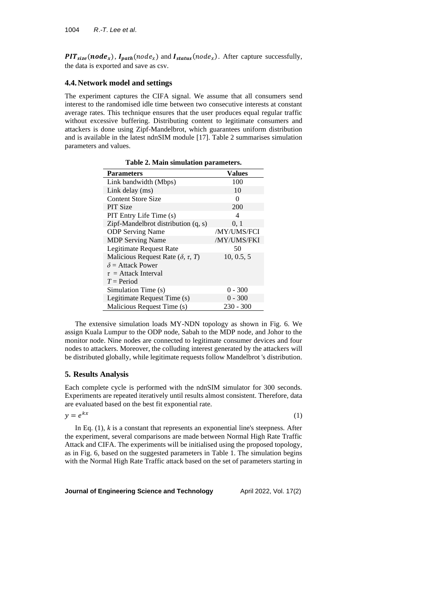**PIT**<sub>size</sub>(node<sub>x</sub>),  $I_{path}(node_x)$  and  $I_{status}(node_x)$ . After capture successfully, the data is exported and save as csv.

## **4.4.Network model and settings**

The experiment captures the CIFA signal. We assume that all consumers send interest to the randomised idle time between two consecutive interests at constant average rates. This technique ensures that the user produces equal regular traffic without excessive buffering. Distributing content to legitimate consumers and attackers is done using Zipf-Mandelbrot, which guarantees uniform distribution and is available in the latest ndnSIM module [17]. Table 2 summarises simulation parameters and values.

| <b>Parameters</b>                               | Values      |
|-------------------------------------------------|-------------|
| Link bandwidth (Mbps)                           | 100         |
| Link delay (ms)                                 | 10          |
| <b>Content Store Size</b>                       | $\Omega$    |
| <b>PIT Size</b>                                 | 200         |
| PIT Entry Life Time (s)                         | 4           |
| Zipf-Mandelbrot distribution $(q, s)$           | 0, 1        |
| <b>ODP</b> Serving Name                         | /MY/UMS/FCI |
| <b>MDP</b> Serving Name                         | /MY/UMS/FKI |
| Legitimate Request Rate                         | 50          |
| Malicious Request Rate ( $\delta$ , $\tau$ , T) | 10, 0.5, 5  |
| $\delta$ = Attack Power                         |             |
| $\tau$ = Attack Interval                        |             |
| $T = Period$                                    |             |
| Simulation Time (s)                             | $0 - 300$   |
| Legitimate Request Time (s)                     | $0 - 300$   |
| Malicious Request Time (s)                      | 230 - 300   |

**Table 2. Main simulation parameters.**

The extensive simulation loads MY-NDN topology as shown in Fig. 6. We assign Kuala Lumpur to the ODP node, Sabah to the MDP node, and Johor to the monitor node. Nine nodes are connected to legitimate consumer devices and four nodes to attackers. Moreover, the colluding interest generated by the attackers will be distributed globally, while legitimate requests follow Mandelbrot 's distribution.

### **5. Results Analysis**

Each complete cycle is performed with the ndnSIM simulator for 300 seconds. Experiments are repeated iteratively until results almost consistent. Therefore, data are evaluated based on the best fit exponential rate.

$$
y = e^{kx} \tag{1}
$$

In Eq.  $(1)$ ,  $k$  is a constant that represents an exponential line's steepness. After the experiment, several comparisons are made between Normal High Rate Traffic Attack and CIFA. The experiments will be initialised using the proposed topology, as in Fig. 6, based on the suggested parameters in Table 1. The simulation begins with the Normal High Rate Traffic attack based on the set of parameters starting in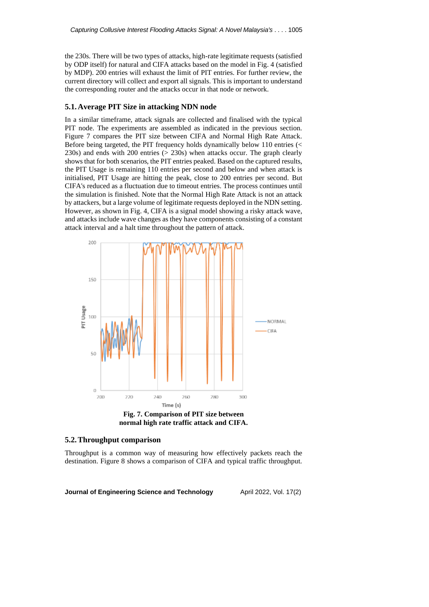the 230s. There will be two types of attacks, high-rate legitimate requests (satisfied by ODP itself) for natural and CIFA attacks based on the model in Fig. 4 (satisfied by MDP). 200 entries will exhaust the limit of PIT entries. For further review, the current directory will collect and export all signals. This is important to understand the corresponding router and the attacks occur in that node or network.

### **5.1.Average PIT Size in attacking NDN node**

In a similar timeframe, attack signals are collected and finalised with the typical PIT node. The experiments are assembled as indicated in the previous section. Figure 7 compares the PIT size between CIFA and Normal High Rate Attack. Before being targeted, the PIT frequency holds dynamically below 110 entries (< 230s) and ends with 200 entries (> 230s) when attacks occur. The graph clearly shows that for both scenarios, the PIT entries peaked. Based on the captured results, the PIT Usage is remaining 110 entries per second and below and when attack is initialised, PIT Usage are hitting the peak, close to 200 entries per second. But CIFA's reduced as a fluctuation due to timeout entries. The process continues until the simulation is finished. Note that the Normal High Rate Attack is not an attack by attackers, but a large volume of legitimate requests deployed in the NDN setting. However, as shown in Fig. 4, CIFA is a signal model showing a risky attack wave, and attacks include wave changes as they have components consisting of a constant attack interval and a halt time throughout the pattern of attack.



### **5.2.Throughput comparison**

Throughput is a common way of measuring how effectively packets reach the destination. Figure 8 shows a comparison of CIFA and typical traffic throughput.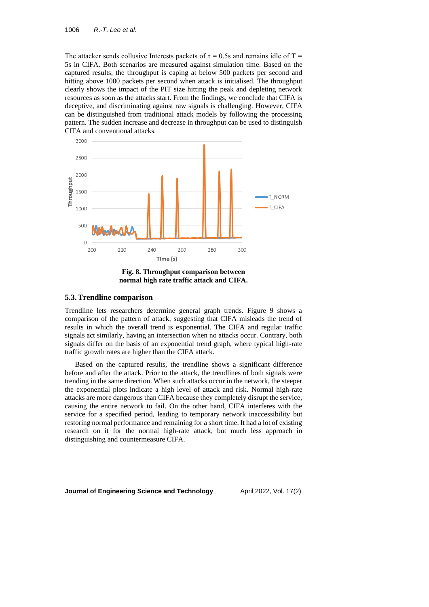The attacker sends collusive Interests packets of  $\tau = 0.5$ s and remains idle of T = 5s in CIFA. Both scenarios are measured against simulation time. Based on the captured results, the throughput is caping at below 500 packets per second and hitting above 1000 packets per second when attack is initialised. The throughput clearly shows the impact of the PIT size hitting the peak and depleting network resources as soon as the attacks start. From the findings, we conclude that CIFA is deceptive, and discriminating against raw signals is challenging. However, CIFA can be distinguished from traditional attack models by following the processing pattern. The sudden increase and decrease in throughput can be used to distinguish CIFA and conventional attacks.



**Fig. 8. Throughput comparison between normal high rate traffic attack and CIFA.**

### **5.3.Trendline comparison**

Trendline lets researchers determine general graph trends. Figure 9 shows a comparison of the pattern of attack, suggesting that CIFA misleads the trend of results in which the overall trend is exponential. The CIFA and regular traffic signals act similarly, having an intersection when no attacks occur. Contrary, both signals differ on the basis of an exponential trend graph, where typical high-rate traffic growth rates are higher than the CIFA attack.

Based on the captured results, the trendline shows a significant difference before and after the attack. Prior to the attack, the trendlines of both signals were trending in the same direction. When such attacks occur in the network, the steeper the exponential plots indicate a high level of attack and risk. Normal high-rate attacks are more dangerous than CIFA because they completely disrupt the service, causing the entire network to fail. On the other hand, CIFA interferes with the service for a specified period, leading to temporary network inaccessibility but restoring normal performance and remaining for a short time. It had a lot of existing research on it for the normal high-rate attack, but much less approach in distinguishing and countermeasure CIFA.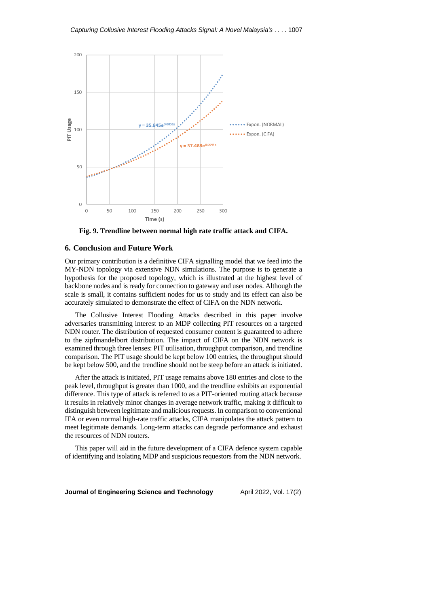

**Fig. 9. Trendline between normal high rate traffic attack and CIFA.**

### **6. Conclusion and Future Work**

Our primary contribution is a definitive CIFA signalling model that we feed into the MY-NDN topology via extensive NDN simulations. The purpose is to generate a hypothesis for the proposed topology, which is illustrated at the highest level of backbone nodes and is ready for connection to gateway and user nodes. Although the scale is small, it contains sufficient nodes for us to study and its effect can also be accurately simulated to demonstrate the effect of CIFA on the NDN network.

The Collusive Interest Flooding Attacks described in this paper involve adversaries transmitting interest to an MDP collecting PIT resources on a targeted NDN router. The distribution of requested consumer content is guaranteed to adhere to the zipfmandelbort distribution. The impact of CIFA on the NDN network is examined through three lenses: PIT utilisation, throughput comparison, and trendline comparison. The PIT usage should be kept below 100 entries, the throughput should be kept below 500, and the trendline should not be steep before an attack is initiated.

After the attack is initiated, PIT usage remains above 180 entries and close to the peak level, throughput is greater than 1000, and the trendline exhibits an exponential difference. This type of attack is referred to as a PIT-oriented routing attack because it results in relatively minor changes in average network traffic, making it difficult to distinguish between legitimate and malicious requests. In comparison to conventional IFA or even normal high-rate traffic attacks, CIFA manipulates the attack pattern to meet legitimate demands. Long-term attacks can degrade performance and exhaust the resources of NDN routers.

This paper will aid in the future development of a CIFA defence system capable of identifying and isolating MDP and suspicious requestors from the NDN network.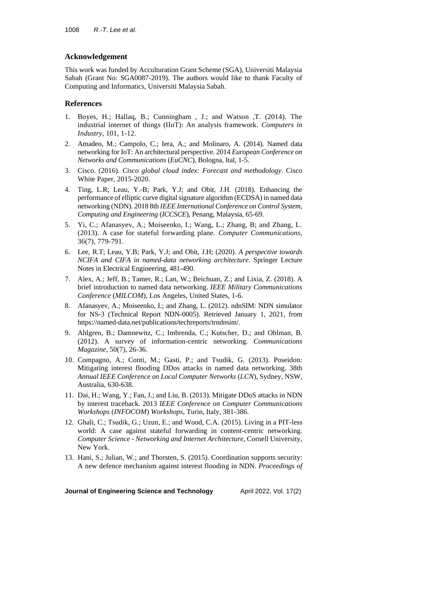# **Acknowledgement**

This work was funded by Acculturation Grant Scheme (SGA), Universiti Malaysia Sabah (Grant No: SGA0087-2019). The authors would like to thank Faculty of Computing and Informatics, Universiti Malaysia Sabah.

# **References**

- 1. Boyes, H.; Hallaq, B.; Cunningham , J.; and Watson ,T. (2014). The industrial internet of things (IIoT): An analysis framework. *Computers in Industry*, 101, 1-12.
- 2. Amadeo, M.; Campolo, C.; Iera, A.; and Molinaro, A. (2014). Named data networking for IoT: An architectural perspective. 2014 *European Conference on Networks and Communications* (*EuCNC*), Bologna, Ital, 1-5.
- 3. Cisco. (2016). *Cisco global cloud index: Forecast and methodology*. Cisco White Paper, 2015-2020.
- 4. Ting, L.R; Leau, Y.-B; Park, Y.J; and Obit, J.H. (2018). Enhancing the performance of elliptic curve digital signature algorithm (ECDSA) in named data networking (NDN). 2018 8th *IEEE International Conference on Control System*, *Computing and Engineering* (*ICCSCE*), Penang, Malaysia, 65-69.
- 5. Yi, C.; Afanasyev, A.; Moiseenko, I.; Wang, L.; Zhang, B; and Zhang, L. (2013). A case for stateful forwarding plane. *Computer Communications*, 36(7), 779-791.
- 6. Lee, R.T; Leau, Y.B; Park, Y.J; and Obit, J.H; (2020). *A perspective towards NCIFA and CIFA in named-data networking architecture*. Springer Lecture Notes in Electrical Engineering, 481-490.
- 7. Alex, A.; Jeff, B.; Tamer, R.; Lan, W.; Beichuan, Z.; and Lixia, Z. (2018). A brief introduction to named data networking. *IEEE Military Communications Conference* (*MILCOM*), Los Angeles, United States, 1-6.
- 8. Afanasyev, A.; Moiseenko, I.; and Zhang, L. (2012). ndnSIM: NDN simulator for NS-3 (Technical Report NDN-0005). Retrieved January 1, 2021, from https://named-data.net/publications/techreports/trndnsim/.
- 9. Ahlgren, B.; Damnewitz, C.; Imbrenda, C.; Kutscher, D.; and Ohlman, B. (2012). A survey of information-centric networking. *Communications Magazine*, 50(7), 26-36.
- 10. Compagno, A.; Conti, M.; Gasti, P.; and Tsudik, G. (2013). Poseidon: Mitigating interest flooding DDos attacks in named data networking. 38th *Annual IEEE Conference on Local Computer Networks* (*LCN*), Sydney, NSW, Australia, 630-638.
- 11. Dai, H.; Wang, Y.; Fan, J.; and Liu, B. (2013). Mitigate DDoS attacks in NDN by interest traceback. 2013 *IEEE Conference on Computer Communications Workshops* (*INFOCOM*) *Workshops*, Turin, Italy, 381-386.
- 12. Ghali, C.; Tsudik, G.; Uzun, E.; and Wood, C.A. (2015). Living in a PIT-less world: A case against stateful forwarding in content-centric networking. *Computer Science - Networking and Internet Architecture*, Cornell University, New York.
- 13. Hani, S.; Julian, W.; and Thorsten, S. (2015). Coordination supports security: A new defence mechanism against interest flooding in NDN. *Proceedings of*